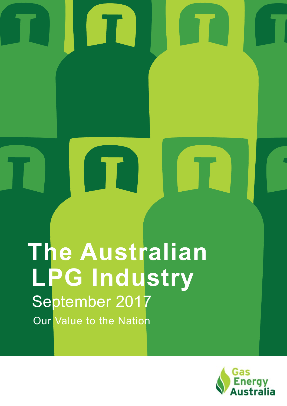# **The Australian**  September 2017 Our Value to the Nation **LPG Industry**

IT.

 $\blacksquare$ 

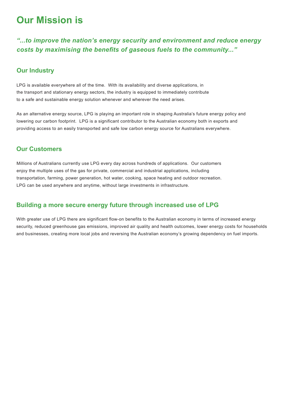# **Our Mission is**

*"...to improve the nation's energy security and environment and reduce energy costs by maximising the benefits of gaseous fuels to the community..."*

## **Our Industry**

LPG is available everywhere all of the time. With its availability and diverse applications, in the transport and stationary energy sectors, the industry is equipped to immediately contribute to a safe and sustainable energy solution whenever and wherever the need arises.

As an alternative energy source, LPG is playing an important role in shaping Australia's future energy policy and lowering our carbon footprint. LPG is a significant contributor to the Australian economy both in exports and providing access to an easily transported and safe low carbon energy source for Australians everywhere.

## **Our Customers**

Millions of Australians currently use LPG every day across hundreds of applications. Our customers enjoy the multiple uses of the gas for private, commercial and industrial applications, including transportation, farming, power generation, hot water, cooking, space heating and outdoor recreation. LPG can be used anywhere and anytime, without large investments in infrastructure.

# **Building a more secure energy future through increased use of LPG**

With greater use of LPG there are significant flow-on benefits to the Australian economy in terms of increased energy security, reduced greenhouse gas emissions, improved air quality and health outcomes, lower energy costs for households and businesses, creating more local jobs and reversing the Australian economy's growing dependency on fuel imports.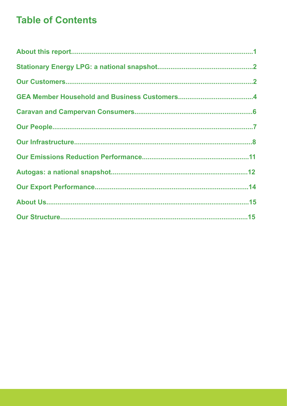# **Table of Contents**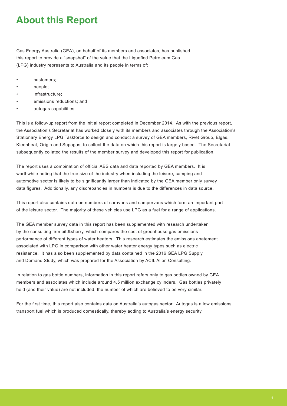# **About this Report**

Gas Energy Australia (GEA), on behalf of its members and associates, has published this report to provide a "snapshot" of the value that the Liquefied Petroleum Gas (LPG) industry represents to Australia and its people in terms of:

- customers;
- people;
- infrastructure;
- emissions reductions; and
- autogas capabilities.

This is a follow-up report from the initial report completed in December 2014. As with the previous report, the Association's Secretariat has worked closely with its members and associates through the Association's Stationary Energy LPG Taskforce to design and conduct a survey of GEA members, Rivet Group, Elgas, Kleenheat, Origin and Supagas, to collect the data on which this report is largely based. The Secretariat subsequently collated the results of the member survey and developed this report for publication.

The report uses a combination of official ABS data and data reported by GEA members. It is worthwhile noting that the true size of the industry when including the leisure, camping and automotive sector is likely to be significantly larger than indicated by the GEA member only survey data figures. Additionally, any discrepancies in numbers is due to the differences in data source.

This report also contains data on numbers of caravans and campervans which form an important part of the leisure sector. The majority of these vehicles use LPG as a fuel for a range of applications.

The GEA member survey data in this report has been supplemented with research undertaken by the consulting firm pitt&sherry, which compares the cost of greenhouse gas emissions performance of different types of water heaters. This research estimates the emissions abatement associated with LPG in comparison with other water heater energy types such as electric resistance. It has also been supplemented by data contained in the 2016 GEA LPG Supply and Demand Study, which was prepared for the Association by ACIL Allen Consulting.

In relation to gas bottle numbers, information in this report refers only to gas bottles owned by GEA members and associates which include around 4.5 million exchange cylinders. Gas bottles privately held (and their value) are not included, the number of which are believed to be very similar.

For the first time, this report also contains data on Australia's autogas sector. Autogas is a low emissions transport fuel which is produced domestically, thereby adding to Australia's energy security.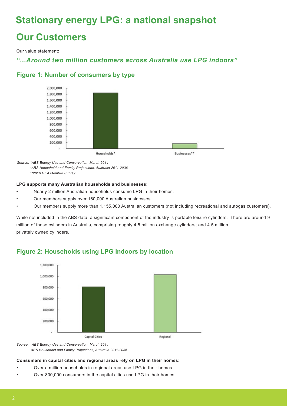# **Stationary energy LPG: a national snapshot**

# **Our Customers**

Our value statement:

# *"…Around two million customers across Australia use LPG indoors"*

# **Figure 1: Number of consumers by type**



 *Source: \*ABS Energy Use and Conservation, March 2014 \*ABS Household and Family Projections, Australia 2011-2036 \*\*2016 GEA Member Survey*

#### **LPG supports many Australian households and businesses:**

- Nearly 2 million Australian households consume LPG in their homes.
- Our members supply over 160,000 Australian businesses.
- Our members supply more than 1,155,000 Australian customers (not including recreational and autogas customers).

While not included in the ABS data, a significant component of the industry is portable leisure cylinders. There are around 9 million of these cylinders in Australia, comprising roughly 4.5 million exchange cylinders; and 4.5 million privately owned cylinders.



# **Figure 2: Households using LPG indoors by location**

*Source: ABS Energy Use and Conservation, March 2014 ABS Household and Family Projections, Australia 2011-2036*

#### **Consumers in capital cities and regional areas rely on LPG in their homes:**

- Over a million households in regional areas use LPG in their homes.
- Over 800,000 consumers in the capital cities use LPG in their homes.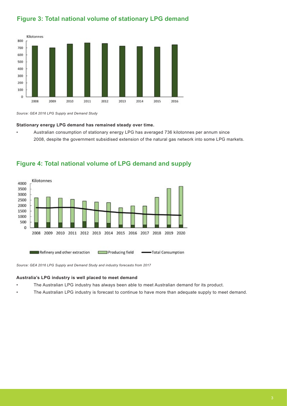# **Figure 3: Total national volume of stationary LPG demand**



*Source: GEA 2016 LPG Supply and Demand Study*

#### **Stationary energy LPG demand has remained steady over time.**

• Australian consumption of stationary energy LPG has averaged 736 kilotonnes per annum since 2008, despite the government subsidised extension of the natural gas network into some LPG markets.



## **Figure 4: Total national volume of LPG demand and supply**

*Source: GEA 2016 LPG Supply and Demand Study and industry forecasts from 2017*

#### **Australia's LPG industry is well placed to meet demand**

- The Australian LPG industry has always been able to meet Australian demand for its product.
	- The Australian LPG industry is forecast to continue to have more than adequate supply to meet demand.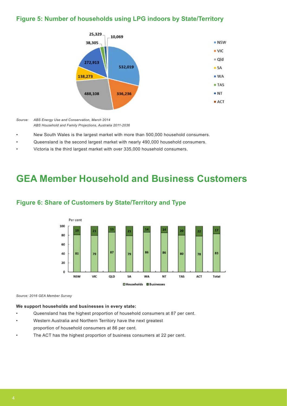# **Figure 5: Number of households using LPG indoors by State/Territory**



*Source: ABS Energy Use and Conservation, March 2014 ABS Household and Family Projections, Australia 2011-2036*

- New South Wales is the largest market with more than 500,000 household consumers.
- Queensland is the second largest market with nearly 490,000 household consumers.
- Victoria is the third largest market with over 335,000 household consumers.

# **GEA Member Household and Business Customers**



## **Figure 6: Share of Customers by State/Territory and Type**

*Source: 2016 GEA Member Survey*

#### **We support households and businesses in every state:**

- Queensland has the highest proportion of household consumers at 87 per cent.
- Western Australia and Northern Territory have the next greatest

proportion of household consumers at 86 per cent.

The ACT has the highest proportion of business consumers at 22 per cent.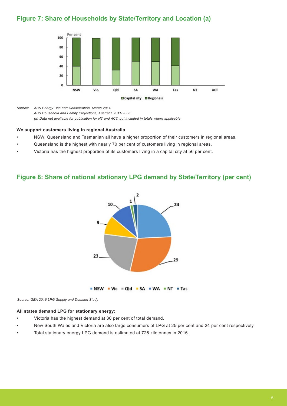# **Figure 7: Share of Households by State/Territory and Location (a)**



*Source: ABS Energy Use and Conservation, March 2014*

*ABS Household and Family Projections, Australia 2011-2036*

*(a) Data not available for publication for NT and ACT, but included in totals where applicable*

#### **We support customers living in regional Australia**

- NSW, Queensland and Tasmanian all have a higher proportion of their customers in regional areas.
- Queensland is the highest with nearly 70 per cent of customers living in regional areas.
- Victoria has the highest proportion of its customers living in a capital city at 56 per cent.

## **Figure 8: Share of national stationary LPG demand by State/Territory (per cent)**



**NSW** • Vic = Old • SA • WA • NT • Tas

*Source: GEA 2016 LPG Supply and Demand Study*

#### **All states demand LPG for stationary energy:**

- Victoria has the highest demand at 30 per cent of total demand.
- New South Wales and Victoria are also large consumers of LPG at 25 per cent and 24 per cent respectively.
- Total stationary energy LPG demand is estimated at 726 kilotonnes in 2016.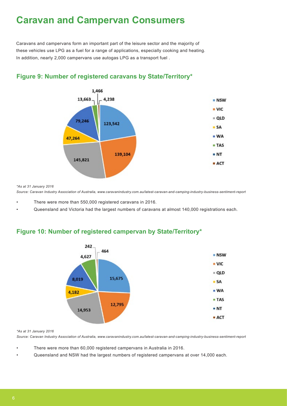# **Caravan and Campervan Consumers**

Caravans and campervans form an important part of the leisure sector and the majority of these vehicles use LPG as a fuel for a range of applications, especially cooking and heating. In addition, nearly 2,000 campervans use autogas LPG as a transport fuel .



# **Figure 9: Number of registered caravans by State/Territory\***

*\*As at 31 January 2016*

*Source: Caravan Industry Association of Australia, www.caravanindustry.com.au/latest-caravan-and-camping-industry-business-sentiment-report*

- There were more than 550,000 registered caravans in 2016.
- Queensland and Victoria had the largest numbers of caravans at almost 140,000 registrations each.

# **Figure 10: Number of registered campervan by State/Territory\***



*\*As at 31 January 2016*

*Source: Caravan Industry Association of Australia, www.caravanindustry.com.au/latest-caravan-and-camping-industry-business-sentiment-report* 

- There were more than 60,000 registered campervans in Australia in 2016.
- Queensland and NSW had the largest numbers of registered campervans at over 14,000 each.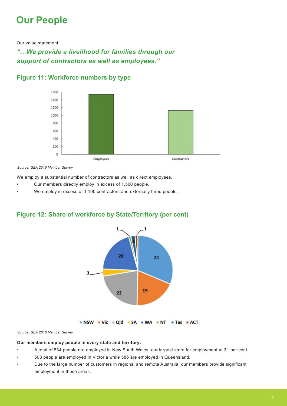# **Our People**

Our value statement:

*"…We provide a livelihood for families through our support of contractors as well as employees."*



## **Figure 11: Workforce numbers by type**

*Source: GEA 2016 Member Survey*

We employ a substantial number of contractors as well as direct employees.

- Our members directly employ in excess of 1,500 people.
- We employ in excess of 1,100 contractors and externally hired people.





*Source: GEA 2016 Member Survey*

#### **Our members employ people in every state and territory:**

- A total of 834 people are employed in New South Wales, our largest state for employment at 31 per cent.
- 508 people are employed in Victoria while 586 are employed in Queensland.
- Due to the large number of customers in regional and remote Australia, our members provide significant employment in these areas.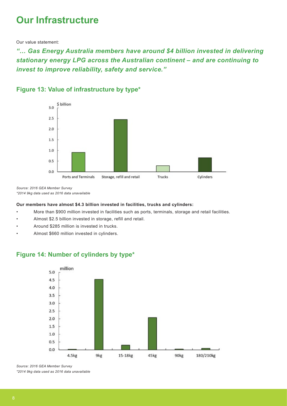# **Our Infrastructure**

Our value statement:

*"… Gas Energy Australia members have around \$4 billion invested in delivering stationary energy LPG across the Australian continent – and are continuing to invest to improve reliability, safety and service."*



# **Figure 13: Value of infrastructure by type\***

*Source: 2016 GEA Member Survey \*2014 9kg data used as 2016 data unavailable*

#### **Our members have almost \$4.3 billion invested in facilities, trucks and cylinders:**

- More than \$900 million invested in facilities such as ports, terminals, storage and retail facilities.
- Almost \$2.5 billion invested in storage, refill and retail.
- Around \$285 million is invested in trucks.
- Almost \$660 million invested in cylinders.

## **Figure 14: Number of cylinders by type\***



*Source: 2016 GEA Member Survey*

*\*2014 9kg data used as 2016 data unavailable*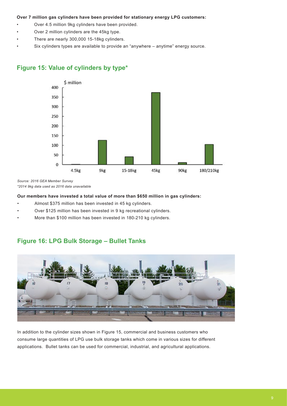#### **Over 7 million gas cylinders have been provided for stationary energy LPG customers:**

- Over 4.5 million 9kg cylinders have been provided.
- Over 2 million cylinders are the 45kg type.
- There are nearly 300,000 15-18kg cylinders.
- Six cylinders types are available to provide an "anywhere anytime" energy source.



## **Figure 15: Value of cylinders by type\***

*Source: 2016 GEA Member Survey \*2014 9kg data used as 2016 data unavailable*

#### **Our members have invested a total value of more than \$650 million in gas cylinders:**

- Almost \$375 million has been invested in 45 kg cylinders.
- Over \$125 million has been invested in 9 kg recreational cylinders.
- More than \$100 million has been invested in 180-210 kg cylinders.

## **Figure 16: LPG Bulk Storage – Bullet Tanks**



In addition to the cylinder sizes shown in Figure 15, commercial and business customers who consume large quantities of LPG use bulk storage tanks which come in various sizes for different applications. Bullet tanks can be used for commercial, industrial, and agricultural applications.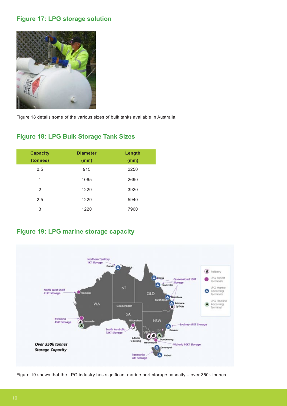# **Figure 17: LPG storage solution**



Figure 18 details some of the various sizes of bulk tanks available in Australia.

# **Figure 18: LPG Bulk Storage Tank Sizes**

| <b>Capacity</b><br>(tonnes) | <b>Diameter</b><br>(mm) | Length<br>(mm) |
|-----------------------------|-------------------------|----------------|
| 0.5                         | 915                     | 2250           |
| 1                           | 1065                    | 2690           |
| 2                           | 1220                    | 3920           |
| 2.5                         | 1220                    | 5940           |
| 3                           | 1220                    | 7960           |

# **Figure 19: LPG marine storage capacity**



Figure 19 shows that the LPG industry has significant marine port storage capacity – over 350k tonnes.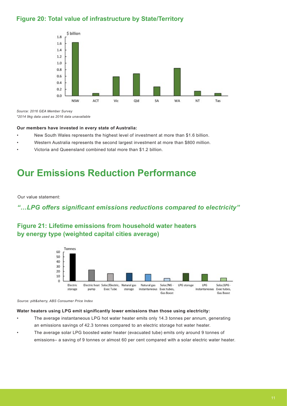# **Figure 20: Total value of infrastructure by State/Territory**



*Source: 2016 GEA Member Survey \*2014 9kg data used as 2016 data unavailable*

#### **Our members have invested in every state of Australia:**

- New South Wales represents the highest level of investment at more than \$1.6 billion.
- Western Australia represents the second largest investment at more than \$800 million.
- Victoria and Queensland combined total more than \$1.2 billion.

# **Our Emissions Reduction Performance**

Our value statement:

## *"…LPG offers significant emissions reductions compared to electricity"*

# **Figure 21: Lifetime emissions from household water heaters by energy type (weighted capital cities average)**



*Source: pitt&sherry, ABS Consumer Price Index*

#### **Water heaters using LPG emit significantly lower emissions than those using electricity:**

- The average instantaneous LPG hot water heater emits only 14.3 tonnes per annum, generating an emissions savings of 42.3 tonnes compared to an electric storage hot water heater.
- The average solar LPG boosted water heater (evacuated tube) emits only around 9 tonnes of emissions– a saving of 9 tonnes or almost 60 per cent compared with a solar electric water heater.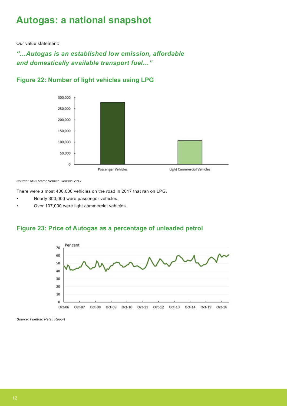# **Autogas: a national snapshot**

Our value statement:

# *"…Autogas is an established low emission, affordable and domestically available transport fuel…"*



# **Figure 22: Number of light vehicles using LPG**

*Source: ABS Motor Vehicle Census 2017*

There were almost 400,000 vehicles on the road in 2017 that ran on LPG.

- Nearly 300,000 were passenger vehicles.
- Over 107,000 were light commercial vehicles.

## **Figure 23: Price of Autogas as a percentage of unleaded petrol**



*Source: Fueltrac Retail Report*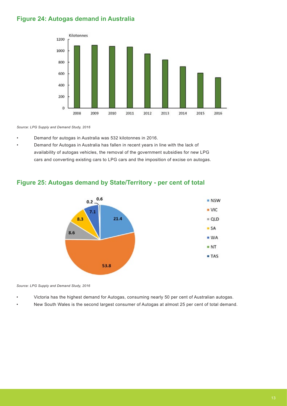# **Figure 24: Autogas demand in Australia**



*Source: LPG Supply and Demand Study, 2016*

- Demand for autogas in Australia was 532 kilotonnes in 2016.
- Demand for Autogas in Australia has fallen in recent years in line with the lack of availability of autogas vehicles, the removal of the government subsidies for new LPG cars and converting existing cars to LPG cars and the imposition of excise on autogas.

# **Figure 25: Autogas demand by State/Territory - per cent of total**



*Source: LPG Supply and Demand Study, 2016*

- Victoria has the highest demand for Autogas, consuming nearly 50 per cent of Australian autogas.
- New South Wales is the second largest consumer of Autogas at almost 25 per cent of total demand.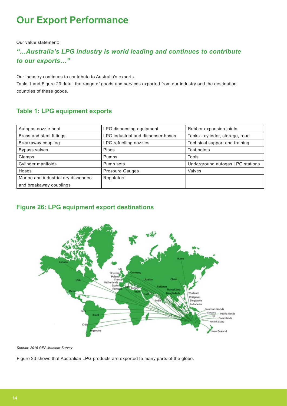# **Our Export Performance**

Our value statement:

# *"…Australia's LPG industry is world leading and continues to contribute to our exports…"*

Our industry continues to contribute to Australia's exports.

Table 1 and Figure 23 detail the range of goods and services exported from our industry and the destination countries of these goods.

# **Table 1: LPG equipment exports**

| Autogas nozzle boot                  | LPG dispensing equipment           | Rubber expansion joints          |
|--------------------------------------|------------------------------------|----------------------------------|
| Brass and steel fittings             | LPG industrial and dispenser hoses | Tanks - cylinder, storage, road  |
| Breakaway coupling                   | LPG refuelling nozzles             | Technical support and training   |
| <b>Bypass valves</b>                 | Pipes                              | Test points                      |
| Clamps                               | <b>Pumps</b>                       | Tools                            |
| Cylinder manifolds                   | Pump sets                          | Underground autogas LPG stations |
| Hoses                                | <b>Pressure Gauges</b>             | Valves                           |
| Marine and industrial dry disconnect | Regulators                         |                                  |
| and breakaway couplings              |                                    |                                  |

# **Figure 26: LPG equipment export destinations**



*Source: 2016 GEA Member Survey*

Figure 23 shows that Australian LPG products are exported to many parts of the globe.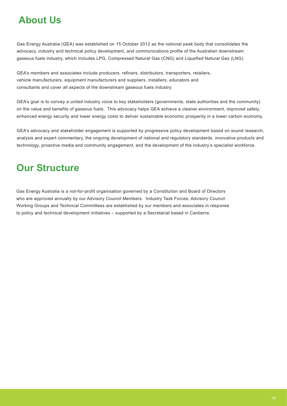# **About Us**

Gas Energy Australia (GEA) was established on 15 October 2012 as the national peak body that consolidates the advocacy, industry and technical policy development, and communications profile of the Australian downstream gaseous fuels industry, which includes LPG, Compressed Natural Gas (CNG) and Liquefied Natural Gas (LNG).

GEA's members and associates include producers, refiners, distributors, transporters, retailers, vehicle manufacturers, equipment manufacturers and suppliers, installers, educators and consultants and cover all aspects of the downstream gaseous fuels industry.

GEA's goal is to convey a united industry voice to key stakeholders (governments, state authorities and the community) on the value and benefits of gaseous fuels. This advocacy helps GEA achieve a cleaner environment, improved safety, enhanced energy security and lower energy costs to deliver sustainable economic prosperity in a lower carbon economy.

GEA's advocacy and stakeholder engagement is supported by progressive policy development based on sound research, analysis and expert commentary, the ongoing development of national and regulatory standards, innovative products and technology, proactive media and community engagement, and the development of the industry's specialist workforce.

# **Our Structure**

Gas Energy Australia is a not-for-profit organisation governed by a Constitution and Board of Directors who are approved annually by our Advisory Council Members. Industry Task Forces, Advisory Council Working Groups and Technical Committees are established by our members and associates in response to policy and technical development initiatives – supported by a Secretariat based in Canberra.